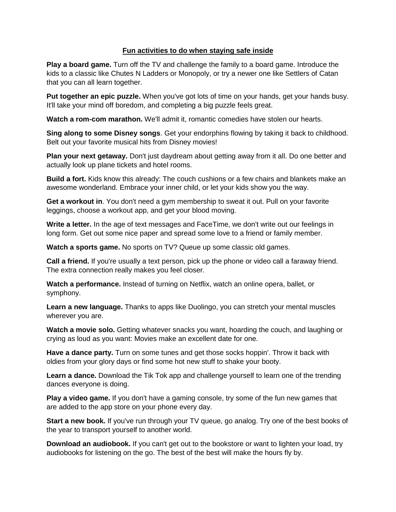## **Fun activities to do when staying safe inside**

**Play a board game.** Turn off the TV and challenge the family to a board game. Introduce the kids to a classic like Chutes N Ladders or Monopoly, or try a newer one like Settlers of Catan that you can all learn together.

**Put together an epic puzzle.** When you've got lots of time on your hands, get your hands busy. It'll take your mind off boredom, and completing a big puzzle feels great.

**Watch a rom-com marathon.** We'll admit it, romantic comedies have stolen our hearts.

**Sing along to some Disney songs**. Get your endorphins flowing by taking it back to childhood. Belt out your favorite musical hits from Disney movies!

**Plan your next getaway.** Don't just daydream about getting away from it all. Do one better and actually look up plane tickets and hotel rooms.

**Build a fort.** Kids know this already: The couch cushions or a few chairs and blankets make an awesome wonderland. Embrace your inner child, or let your kids show you the way.

**Get a workout in**. You don't need a gym membership to sweat it out. Pull on your favorite leggings, choose a workout app, and get your blood moving.

**Write a letter.** In the age of text messages and FaceTime, we don't write out our feelings in long form. Get out some nice paper and spread some love to a friend or family member.

**Watch a sports game.** No sports on TV? Queue up some classic old games.

**Call a friend.** If you're usually a text person, pick up the phone or video call a faraway friend. The extra connection really makes you feel closer.

**Watch a performance.** Instead of turning on Netflix, watch an online opera, ballet, or symphony.

**Learn a new language.** Thanks to apps like Duolingo, you can stretch your mental muscles wherever you are.

**Watch a movie solo.** Getting whatever snacks you want, hoarding the couch, and laughing or crying as loud as you want: Movies make an excellent date for one.

**Have a dance party.** Turn on some tunes and get those socks hoppin'. Throw it back with oldies from your glory days or find some hot new stuff to shake your booty.

**Learn a dance.** Download the Tik Tok app and challenge yourself to learn one of the trending dances everyone is doing.

**Play a video game.** If you don't have a gaming console, try some of the fun new games that are added to the app store on your phone every day.

**Start a new book.** If you've run through your TV queue, go analog. Try one of the best books of the year to transport yourself to another world.

**Download an audiobook.** If you can't get out to the bookstore or want to lighten your load, try audiobooks for listening on the go. The best of the best will make the hours fly by.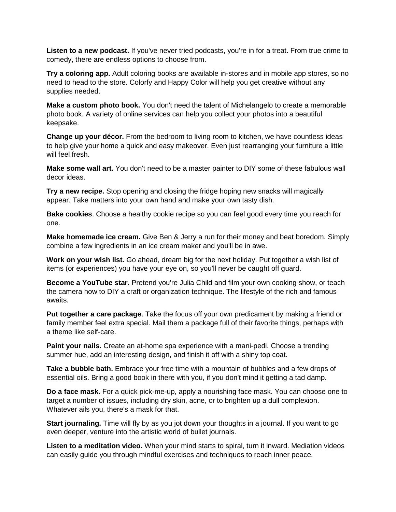**Listen to a new podcast.** If you've never tried podcasts, you're in for a treat. From true crime to comedy, there are endless options to choose from.

**Try a coloring app.** Adult coloring books are available in-stores and in mobile app stores, so no need to head to the store. Colorfy and Happy Color will help you get creative without any supplies needed.

**Make a custom photo book.** You don't need the talent of Michelangelo to create a memorable photo book. A variety of online services can help you collect your photos into a beautiful keepsake.

**Change up your décor.** From the bedroom to living room to kitchen, we have countless ideas to help give your home a quick and easy makeover. Even just rearranging your furniture a little will feel fresh.

**Make some wall art.** You don't need to be a master painter to DIY some of these fabulous wall decor ideas.

**Try a new recipe.** Stop opening and closing the fridge hoping new snacks will magically appear. Take matters into your own hand and make your own tasty dish.

**Bake cookies**. Choose a healthy cookie recipe so you can feel good every time you reach for one.

**Make homemade ice cream.** Give Ben & Jerry a run for their money and beat boredom. Simply combine a few ingredients in an ice cream maker and you'll be in awe.

**Work on your wish list.** Go ahead, dream big for the next holiday. Put together a wish list of items (or experiences) you have your eye on, so you'll never be caught off guard.

**Become a YouTube star.** Pretend you're Julia Child and film your own cooking show, or teach the camera how to DIY a craft or organization technique. The lifestyle of the rich and famous awaits.

**Put together a care package**. Take the focus off your own predicament by making a friend or family member feel extra special. Mail them a package full of their favorite things, perhaps with a theme like self-care.

**Paint your nails.** Create an at-home spa experience with a mani-pedi. Choose a trending summer hue, add an interesting design, and finish it off with a shiny top coat.

**Take a bubble bath.** Embrace your free time with a mountain of bubbles and a few drops of essential oils. Bring a good book in there with you, if you don't mind it getting a tad damp.

**Do a face mask.** For a quick pick-me-up, apply a nourishing face mask. You can choose one to target a number of issues, including dry skin, acne, or to brighten up a dull complexion. Whatever ails you, there's a mask for that.

**Start journaling.** Time will fly by as you jot down your thoughts in a journal. If you want to go even deeper, venture into the artistic world of bullet journals.

**Listen to a meditation video.** When your mind starts to spiral, turn it inward. Mediation videos can easily guide you through mindful exercises and techniques to reach inner peace.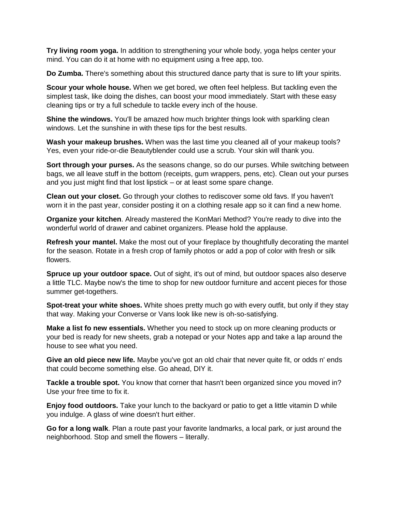**Try living room yoga.** In addition to strengthening your whole body, yoga helps center your mind. You can do it at home with no equipment using a free app, too.

**Do Zumba.** There's something about this structured dance party that is sure to lift your spirits.

**Scour your whole house.** When we get bored, we often feel helpless. But tackling even the simplest task, like doing the dishes, can boost your mood immediately. Start with these easy cleaning tips or try a full schedule to tackle every inch of the house.

**Shine the windows.** You'll be amazed how much brighter things look with sparkling clean windows. Let the sunshine in with these tips for the best results.

**Wash your makeup brushes.** When was the last time you cleaned all of your makeup tools? Yes, even your ride-or-die Beautyblender could use a scrub. Your skin will thank you.

**Sort through your purses.** As the seasons change, so do our purses. While switching between bags, we all leave stuff in the bottom (receipts, gum wrappers, pens, etc). Clean out your purses and you just might find that lost lipstick – or at least some spare change.

**Clean out your closet.** Go through your clothes to rediscover some old favs. If you haven't worn it in the past year, consider posting it on a clothing resale app so it can find a new home.

**Organize your kitchen**. Already mastered the KonMari Method? You're ready to dive into the wonderful world of drawer and cabinet organizers. Please hold the applause.

**Refresh your mantel.** Make the most out of your fireplace by thoughtfully decorating the mantel for the season. Rotate in a fresh crop of family photos or add a pop of color with fresh or silk flowers.

**Spruce up your outdoor space.** Out of sight, it's out of mind, but outdoor spaces also deserve a little TLC. Maybe now's the time to shop for new outdoor furniture and accent pieces for those summer get-togethers.

**Spot-treat your white shoes.** White shoes pretty much go with every outfit, but only if they stay that way. Making your Converse or Vans look like new is oh-so-satisfying.

**Make a list fo new essentials.** Whether you need to stock up on more cleaning products or your bed is ready for new sheets, grab a notepad or your Notes app and take a lap around the house to see what you need.

**Give an old piece new life.** Maybe you've got an old chair that never quite fit, or odds n' ends that could become something else. Go ahead, DIY it.

**Tackle a trouble spot.** You know that corner that hasn't been organized since you moved in? Use your free time to fix it.

**Enjoy food outdoors.** Take your lunch to the backyard or patio to get a little vitamin D while you indulge. A glass of wine doesn't hurt either.

**Go for a long walk**. Plan a route past your favorite landmarks, a local park, or just around the neighborhood. Stop and smell the flowers – literally.